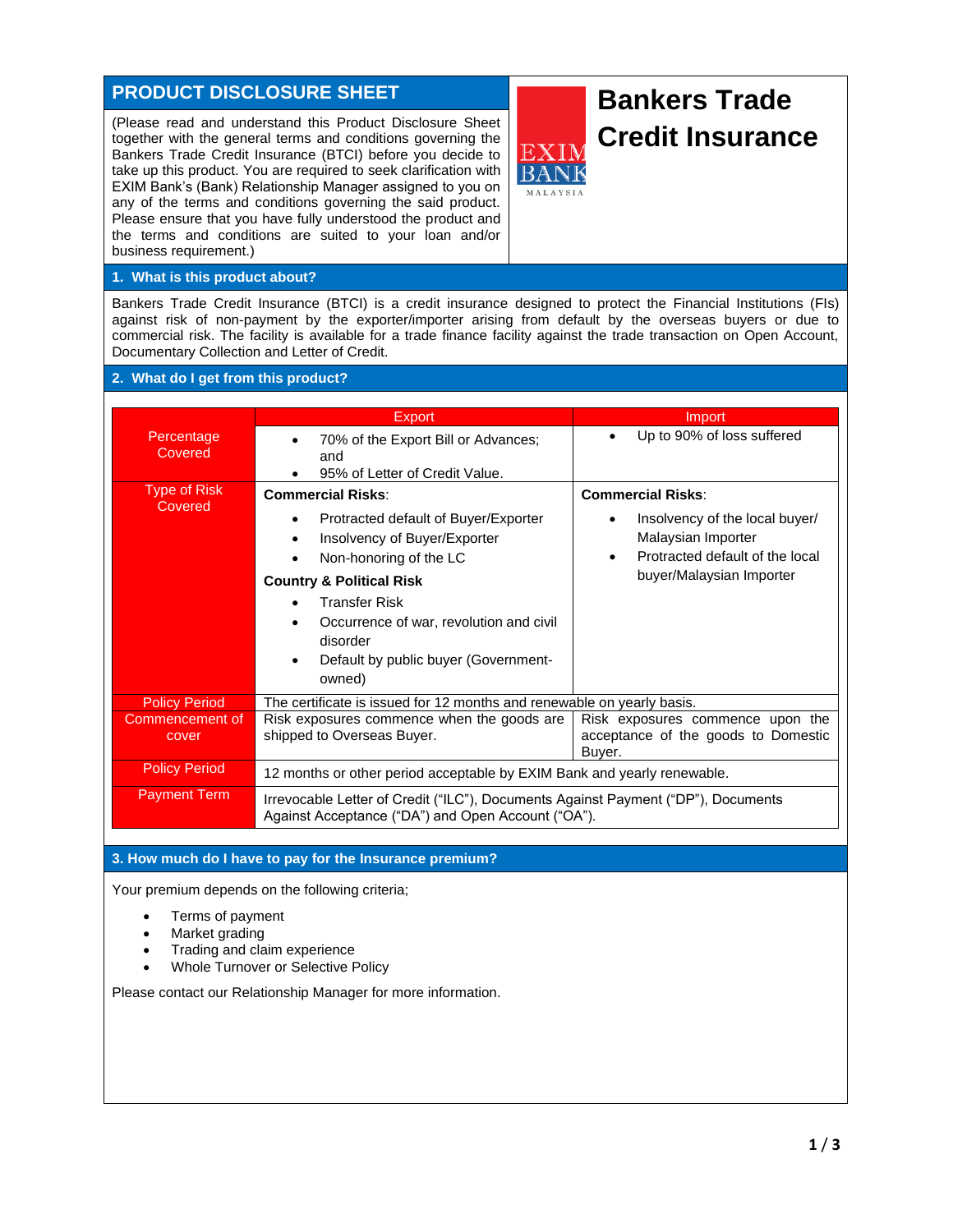## **PRODUCT DISCLOSURE SHEET**

(Please read and understand this Product Disclosure Sheet together with the general terms and conditions governing the Bankers Trade Credit Insurance (BTCI) before you decide to take up this product. You are required to seek clarification with EXIM Bank's (Bank) Relationship Manager assigned to you on any of the terms and conditions governing the said product. Please ensure that you have fully understood the product and the terms and conditions are suited to your loan and/or business requirement.)



## **1. What is this product about?**

Bankers Trade Credit Insurance (BTCI) is a credit insurance designed to protect the Financial Institutions (FIs) against risk of non-payment by the exporter/importer arising from default by the overseas buyers or due to commercial risk. The facility is available for a trade finance facility against the trade transaction on Open Account, Documentary Collection and Letter of Credit.

## **2. What do I get from this product?**

|                                | <b>Export</b>                                                                                                                                                                                                                                                                                         | Import                                                                                                                   |
|--------------------------------|-------------------------------------------------------------------------------------------------------------------------------------------------------------------------------------------------------------------------------------------------------------------------------------------------------|--------------------------------------------------------------------------------------------------------------------------|
| Percentage<br>Covered          | 70% of the Export Bill or Advances;<br>and<br>95% of Letter of Credit Value.                                                                                                                                                                                                                          | Up to 90% of loss suffered                                                                                               |
| <b>Type of Risk</b><br>Covered | <b>Commercial Risks:</b>                                                                                                                                                                                                                                                                              | <b>Commercial Risks:</b>                                                                                                 |
|                                | Protracted default of Buyer/Exporter<br>٠<br>Insolvency of Buyer/Exporter<br>$\bullet$<br>Non-honoring of the LC<br>$\bullet$<br><b>Country &amp; Political Risk</b><br><b>Transfer Risk</b><br>Occurrence of war, revolution and civil<br>disorder<br>Default by public buyer (Government-<br>owned) | Insolvency of the local buyer/<br>Malaysian Importer<br>Protracted default of the local<br>٠<br>buyer/Malaysian Importer |
| <b>Policy Period</b>           | The certificate is issued for 12 months and renewable on yearly basis.                                                                                                                                                                                                                                |                                                                                                                          |
| Commencement of<br>cover       | Risk exposures commence when the goods are<br>shipped to Overseas Buyer.                                                                                                                                                                                                                              | Risk exposures commence upon the<br>acceptance of the goods to Domestic<br>Buyer.                                        |
| <b>Policy Period</b>           | 12 months or other period acceptable by EXIM Bank and yearly renewable.                                                                                                                                                                                                                               |                                                                                                                          |
| <b>Payment Term</b>            | Irrevocable Letter of Credit ("ILC"), Documents Against Payment ("DP"), Documents<br>Against Acceptance ("DA") and Open Account ("OA").                                                                                                                                                               |                                                                                                                          |

## **3. How much do I have to pay for the Insurance premium?**

Your premium depends on the following criteria;

- Terms of payment
- Market grading
- Trading and claim experience
- Whole Turnover or Selective Policy

Please contact our Relationship Manager for more information.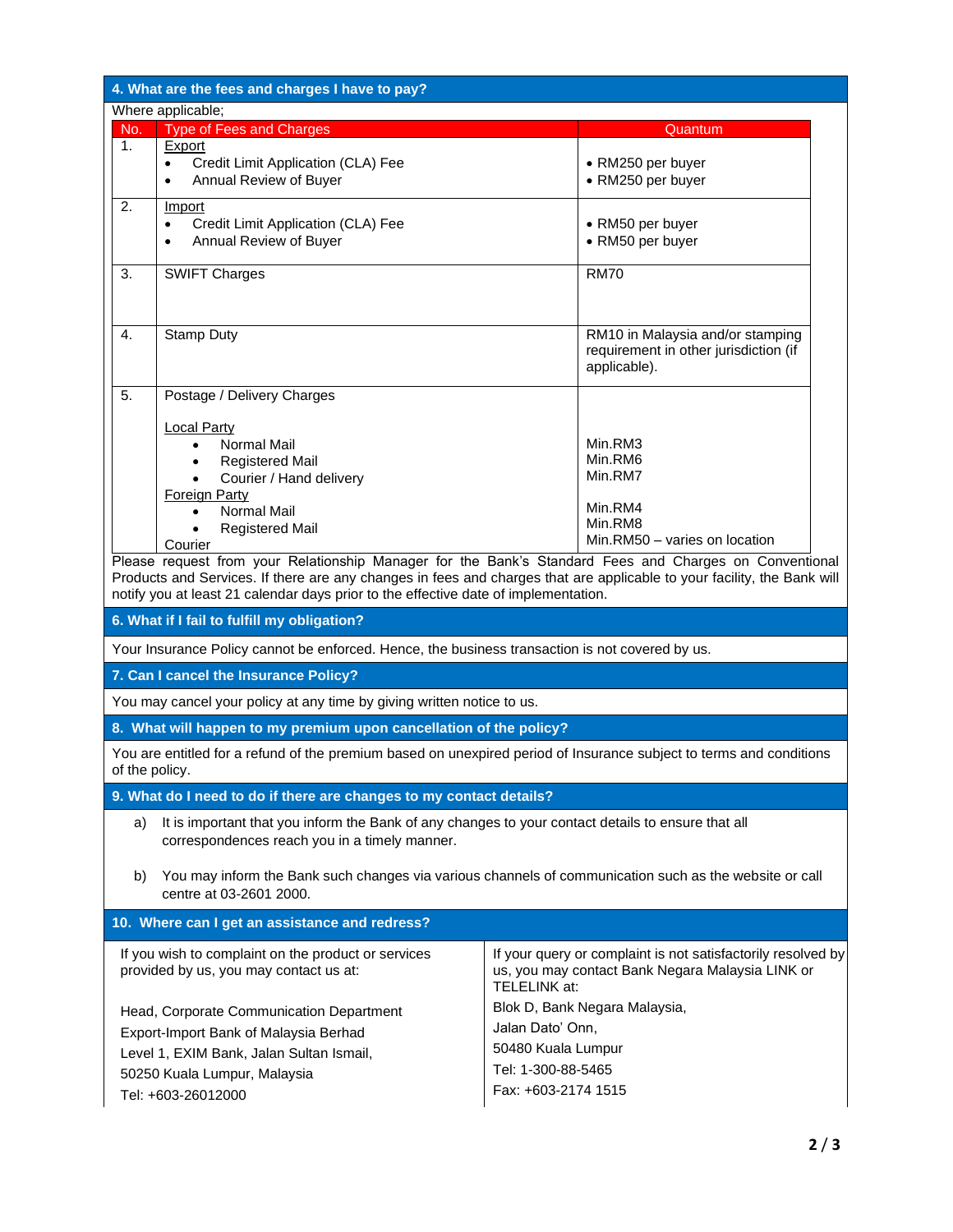| 4. What are the fees and charges I have to pay?                                                                                                                                     |                                                                                                                                                                                  |                                                                                                                                                                                                |  |  |
|-------------------------------------------------------------------------------------------------------------------------------------------------------------------------------------|----------------------------------------------------------------------------------------------------------------------------------------------------------------------------------|------------------------------------------------------------------------------------------------------------------------------------------------------------------------------------------------|--|--|
| Where applicable;                                                                                                                                                                   |                                                                                                                                                                                  |                                                                                                                                                                                                |  |  |
| No.<br>1.                                                                                                                                                                           | <b>Type of Fees and Charges</b><br>Export                                                                                                                                        | Quantum                                                                                                                                                                                        |  |  |
|                                                                                                                                                                                     | Credit Limit Application (CLA) Fee<br>$\bullet$<br>Annual Review of Buyer<br>$\bullet$                                                                                           | • RM250 per buyer<br>• RM250 per buyer                                                                                                                                                         |  |  |
| 2.                                                                                                                                                                                  | Import<br>Credit Limit Application (CLA) Fee<br>$\bullet$<br>Annual Review of Buyer<br>$\bullet$                                                                                 | • RM50 per buyer<br>• RM50 per buyer                                                                                                                                                           |  |  |
| 3.                                                                                                                                                                                  | <b>SWIFT Charges</b>                                                                                                                                                             | <b>RM70</b>                                                                                                                                                                                    |  |  |
| 4.                                                                                                                                                                                  | <b>Stamp Duty</b>                                                                                                                                                                | RM10 in Malaysia and/or stamping<br>requirement in other jurisdiction (if<br>applicable).                                                                                                      |  |  |
| 5.                                                                                                                                                                                  | Postage / Delivery Charges                                                                                                                                                       |                                                                                                                                                                                                |  |  |
|                                                                                                                                                                                     | <b>Local Party</b><br><b>Normal Mail</b><br><b>Registered Mail</b><br>Courier / Hand delivery<br><b>Foreign Party</b><br><b>Normal Mail</b><br><b>Registered Mail</b><br>Courier | Min.RM3<br>Min.RM6<br>Min.RM7<br>Min.RM4<br>Min.RM8<br>Min.RM50 - varies on location<br>Please request from your Relationship Manager for the Bank's Standard Fees and Charges on Conventional |  |  |
|                                                                                                                                                                                     | notify you at least 21 calendar days prior to the effective date of implementation.                                                                                              | Products and Services. If there are any changes in fees and charges that are applicable to your facility, the Bank will                                                                        |  |  |
| 6. What if I fail to fulfill my obligation?                                                                                                                                         |                                                                                                                                                                                  |                                                                                                                                                                                                |  |  |
|                                                                                                                                                                                     | Your Insurance Policy cannot be enforced. Hence, the business transaction is not covered by us.                                                                                  |                                                                                                                                                                                                |  |  |
|                                                                                                                                                                                     | 7. Can I cancel the Insurance Policy?                                                                                                                                            |                                                                                                                                                                                                |  |  |
|                                                                                                                                                                                     | You may cancel your policy at any time by giving written notice to us.                                                                                                           |                                                                                                                                                                                                |  |  |
|                                                                                                                                                                                     | 8. What will happen to my premium upon cancellation of the policy?                                                                                                               |                                                                                                                                                                                                |  |  |
| You are entitled for a refund of the premium based on unexpired period of Insurance subject to terms and conditions<br>of the policy.                                               |                                                                                                                                                                                  |                                                                                                                                                                                                |  |  |
| 9. What do I need to do if there are changes to my contact details?                                                                                                                 |                                                                                                                                                                                  |                                                                                                                                                                                                |  |  |
| a)                                                                                                                                                                                  | It is important that you inform the Bank of any changes to your contact details to ensure that all<br>correspondences reach you in a timely manner.                              |                                                                                                                                                                                                |  |  |
| b)                                                                                                                                                                                  | You may inform the Bank such changes via various channels of communication such as the website or call<br>centre at 03-2601 2000.                                                |                                                                                                                                                                                                |  |  |
|                                                                                                                                                                                     | 10. Where can I get an assistance and redress?                                                                                                                                   |                                                                                                                                                                                                |  |  |
| If you wish to complaint on the product or services<br>provided by us, you may contact us at:                                                                                       |                                                                                                                                                                                  | If your query or complaint is not satisfactorily resolved by<br>us, you may contact Bank Negara Malaysia LINK or<br>TELELINK at:                                                               |  |  |
| Head, Corporate Communication Department<br>Export-Import Bank of Malaysia Berhad<br>Level 1, EXIM Bank, Jalan Sultan Ismail,<br>50250 Kuala Lumpur, Malaysia<br>Tel: +603-26012000 |                                                                                                                                                                                  | Blok D, Bank Negara Malaysia,<br>Jalan Dato' Onn,<br>50480 Kuala Lumpur<br>Tel: 1-300-88-5465<br>Fax: +603-2174 1515                                                                           |  |  |